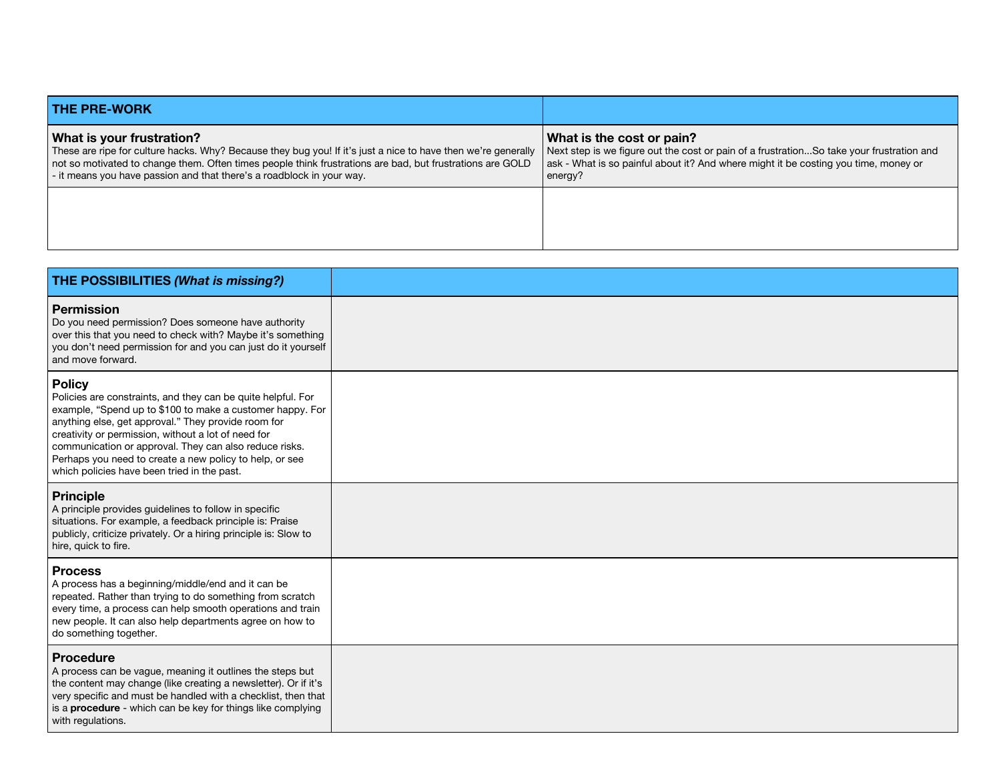| <b>THE PRE-WORK</b>                                                                                                                                                                                                                                                                                                              |                                                                                                                                                                                                                         |
|----------------------------------------------------------------------------------------------------------------------------------------------------------------------------------------------------------------------------------------------------------------------------------------------------------------------------------|-------------------------------------------------------------------------------------------------------------------------------------------------------------------------------------------------------------------------|
| What is your frustration?<br>These are ripe for culture hacks. Why? Because they bug you! If it's just a nice to have then we're generally<br>not so motivated to change them. Often times people think frustrations are bad, but frustrations are GOLD<br>- it means you have passion and that there's a roadblock in your way. | What is the cost or pain?<br>Next step is we figure out the cost or pain of a frustrationSo take your frustration and<br>ask - What is so painful about it? And where might it be costing you time, money or<br>energy? |
|                                                                                                                                                                                                                                                                                                                                  |                                                                                                                                                                                                                         |

| THE POSSIBILITIES (What is missing?)                                                                                                                                                                                                                                                                                                                                                                                         |  |
|------------------------------------------------------------------------------------------------------------------------------------------------------------------------------------------------------------------------------------------------------------------------------------------------------------------------------------------------------------------------------------------------------------------------------|--|
| Permission<br>Do you need permission? Does someone have authority<br>over this that you need to check with? Maybe it's something<br>you don't need permission for and you can just do it yourself<br>and move forward.                                                                                                                                                                                                       |  |
| <b>Policy</b><br>Policies are constraints, and they can be quite helpful. For<br>example, "Spend up to \$100 to make a customer happy. For<br>anything else, get approval." They provide room for<br>creativity or permission, without a lot of need for<br>communication or approval. They can also reduce risks.<br>Perhaps you need to create a new policy to help, or see<br>which policies have been tried in the past. |  |
| <b>Principle</b><br>A principle provides guidelines to follow in specific<br>situations. For example, a feedback principle is: Praise<br>publicly, criticize privately. Or a hiring principle is: Slow to<br>hire, quick to fire.                                                                                                                                                                                            |  |
| <b>Process</b><br>A process has a beginning/middle/end and it can be<br>repeated. Rather than trying to do something from scratch<br>every time, a process can help smooth operations and train<br>new people. It can also help departments agree on how to<br>do something together.                                                                                                                                        |  |
| Procedure<br>A process can be vague, meaning it outlines the steps but<br>the content may change (like creating a newsletter). Or if it's<br>very specific and must be handled with a checklist, then that<br>is a <b>procedure</b> - which can be key for things like complying<br>with regulations.                                                                                                                        |  |